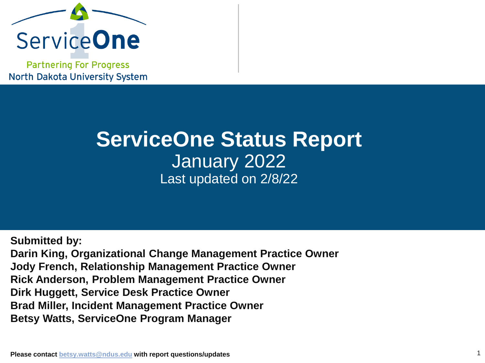

**Partnering For Progress North Dakota University System** 

# **ServiceOne Status Report** January 2022 Last updated on 2/8/22

**Submitted by: Darin King, Organizational Change Management Practice Owner Jody French, Relationship Management Practice Owner Rick Anderson, Problem Management Practice Owner Dirk Huggett, Service Desk Practice Owner Brad Miller, Incident Management Practice Owner Betsy Watts, ServiceOne Program Manager**